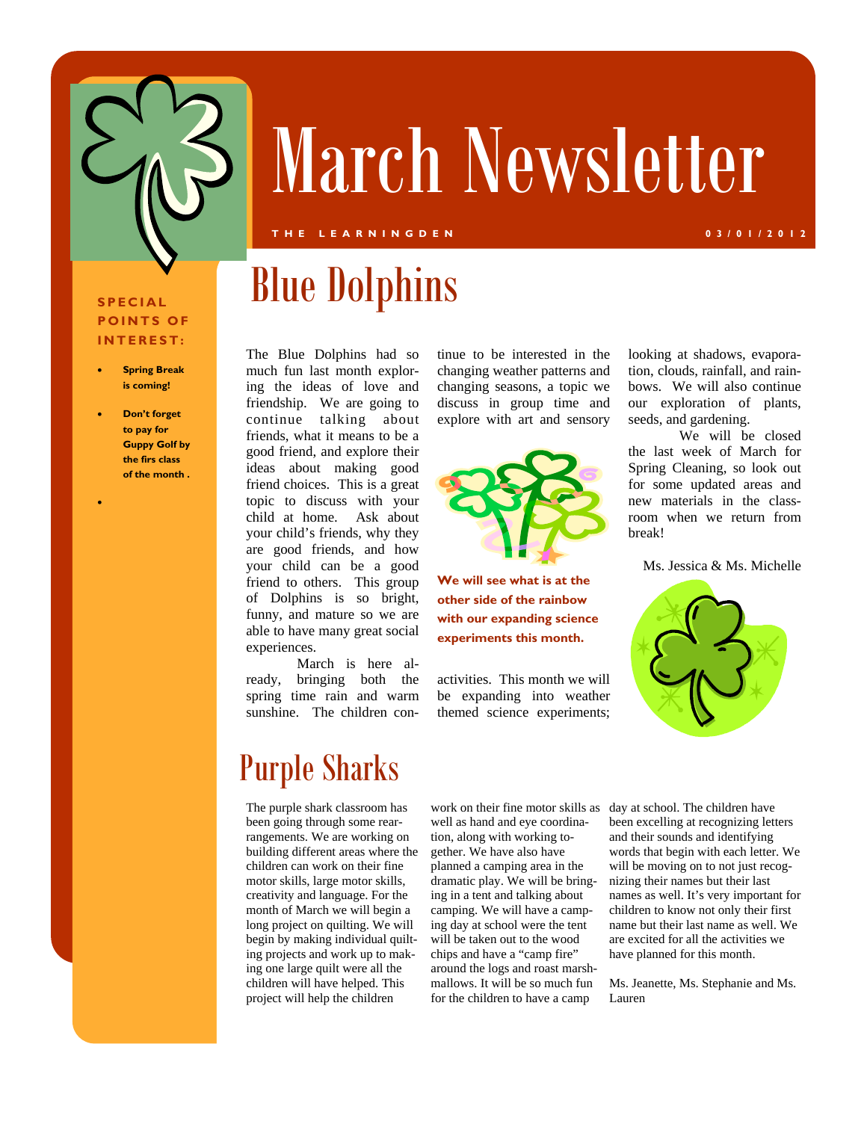

# March Newsletter

#### **THE LEARNINGDEN 03/01/2012**

#### **SPECIAL POINTS OF INTEREST:**

- **Spring Break is coming!**
- **Don't forget to pay for Guppy Golf by the firs class of the month .**

 $\bullet$ 

The Blue Dolphins had so much fun last month exploring the ideas of love and friendship. We are going to continue talking about friends, what it means to be a good friend, and explore their ideas about making good friend choices. This is a great topic to discuss with your child at home. Ask about your child's friends, why they are good friends, and how your child can be a good friend to others. This group of Dolphins is so bright, funny, and mature so we are able to have many great social experiences.

 March is here already, bringing both the spring time rain and warm sunshine. The children condiscuss in group time and explore with art and sensory

tinue to be interested in the changing weather patterns and changing seasons, a topic we



**We will see what is at the other side of the rainbow with our expanding science experiments this month.** 

activities. This month we will be expanding into weather themed science experiments;

looking at shadows, evaporation, clouds, rainfall, and rainbows. We will also continue our exploration of plants, seeds, and gardening.

 We will be closed the last week of March for Spring Cleaning, so look out for some updated areas and new materials in the classroom when we return from break!

Ms. Jessica & Ms. Michelle



## Purple Sharks

The purple shark classroom has been going through some rearrangements. We are working on building different areas where the children can work on their fine motor skills, large motor skills, creativity and language. For the month of March we will begin a long project on quilting. We will begin by making individual quilting projects and work up to making one large quilt were all the children will have helped. This project will help the children

work on their fine motor skills as well as hand and eye coordination, along with working together. We have also have planned a camping area in the dramatic play. We will be bringing in a tent and talking about camping. We will have a camping day at school were the tent will be taken out to the wood chips and have a "camp fire" around the logs and roast marshmallows. It will be so much fun for the children to have a camp

day at school. The children have been excelling at recognizing letters and their sounds and identifying words that begin with each letter. We will be moving on to not just recognizing their names but their last names as well. It's very important for children to know not only their first name but their last name as well. We are excited for all the activities we have planned for this month.

Ms. Jeanette, Ms. Stephanie and Ms. Lauren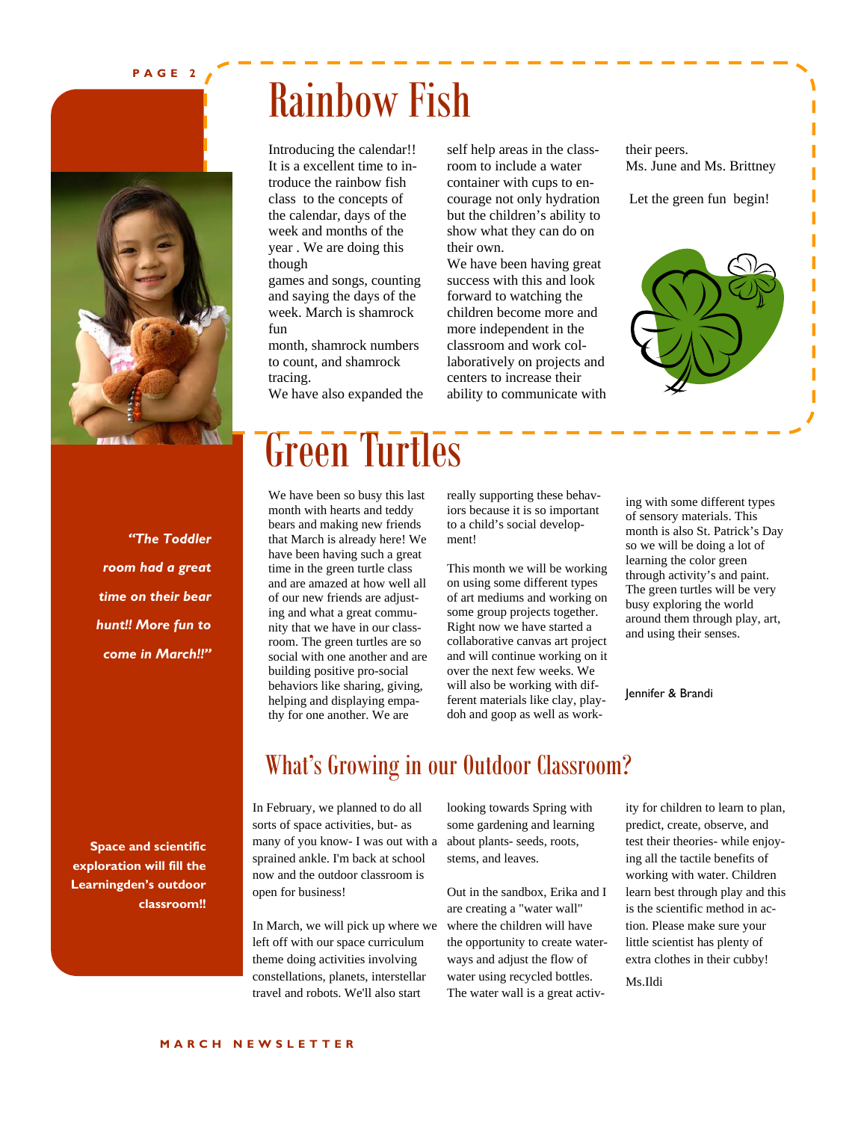#### **PAGE 2**



*"The Toddler room had a great time on their bear hunt!! More fun to come in March!!"*  Rainbow Fish

Introducing the calendar!! It is a excellent time to introduce the rainbow fish class to the concepts of the calendar, days of the week and months of the year . We are doing this though

games and songs, counting and saying the days of the week. March is shamrock fun

month, shamrock numbers to count, and shamrock tracing.

We have also expanded the

self help areas in the classroom to include a water container with cups to encourage not only hydration but the children's ability to show what they can do on their own.

We have been having great success with this and look forward to watching the children become more and more independent in the classroom and work collaboratively on projects and centers to increase their ability to communicate with their peers. Ms. June and Ms. Brittney

Let the green fun begin!



Green Turtles

We have been so busy this last month with hearts and teddy bears and making new friends that March is already here! We have been having such a great time in the green turtle class and are amazed at how well all of our new friends are adjusting and what a great community that we have in our classroom. The green turtles are so social with one another and are building positive pro-social behaviors like sharing, giving, helping and displaying empathy for one another. We are

really supporting these behaviors because it is so important to a child's social development!

This month we will be working on using some different types of art mediums and working on some group projects together. Right now we have started a collaborative canvas art project and will continue working on it over the next few weeks. We will also be working with different materials like clay, playdoh and goop as well as work-

ing with some different types of sensory materials. This month is also St. Patrick's Day so we will be doing a lot of learning the color green through activity's and paint. The green turtles will be very busy exploring the world around them through play, art, and using their senses.

Jennifer & Brandi

**Space and scientific exploration will fill the Learningden's outdoor classroom!!** 

## What's Growing in our Outdoor Classroom?

In February, we planned to do all sorts of space activities, but- as many of you know- I was out with a sprained ankle. I'm back at school now and the outdoor classroom is open for business!

In March, we will pick up where we left off with our space curriculum theme doing activities involving constellations, planets, interstellar travel and robots. We'll also start

looking towards Spring with some gardening and learning about plants- seeds, roots, stems, and leaves.

Out in the sandbox, Erika and I are creating a "water wall" where the children will have the opportunity to create waterways and adjust the flow of water using recycled bottles. The water wall is a great activity for children to learn to plan, predict, create, observe, and test their theories- while enjoying all the tactile benefits of working with water. Children learn best through play and this is the scientific method in action. Please make sure your little scientist has plenty of extra clothes in their cubby! Ms.Ildi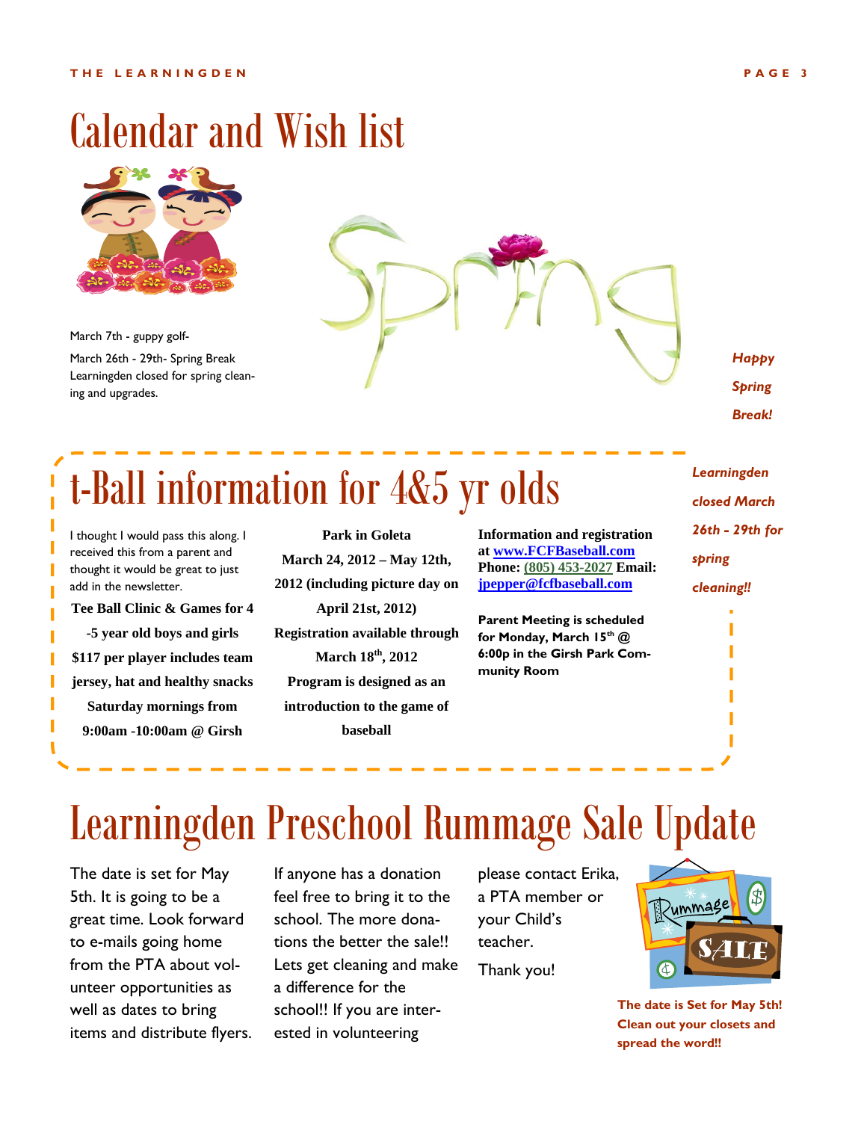

March 7th - guppy golf-March 26th - 29th- Spring Break Learningden closed for spring cleaning and upgrades.



*Happy Spring Break!* 

## t-Ball information for 4&5 yr olds

I thought I would pass this along. I received this from a parent and thought it would be great to just add in the newsletter.

**Tee Ball Clinic & Games for 4 -5 year old boys and girls \$117 per player includes team jersey, hat and healthy snacks Saturday mornings from 9:00am -10:00am @ Girsh** 

**Park in Goleta March 24, 2012 – May 12th, 2012 (including picture day on April 21st, 2012) Registration available through March 18th, 2012 Program is designed as an introduction to the game of baseball**

| <b>Information and registration</b> |
|-------------------------------------|
| at www.FCFBaseball.com              |
| Phone: (805) 453-2027 Email:        |
| jpepper@fcfbaseball.com             |

**Parent Meeting is scheduled for Monday, March 15th @ 6:00p in the Girsh Park Community Room**

*Learningden closed March 26th - 29th for spring cleaning!!* 

## Learningden Preschool Rummage Sale Update

The date is set for May 5th. It is going to be a great time. Look forward to e-mails going home from the PTA about volunteer opportunities as well as dates to bring items and distribute flyers. If anyone has a donation feel free to bring it to the school. The more donations the better the sale!! Lets get cleaning and make a difference for the school!! If you are interested in volunteering

please contact Erika, a PTA member or your Child's teacher. Thank you!



**The date is Set for May 5th! Clean out your closets and spread the word!!**